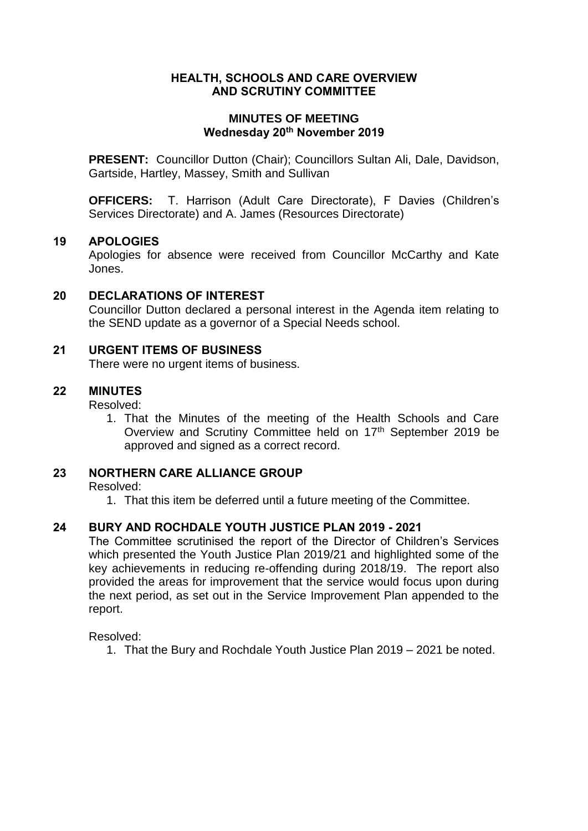# **HEALTH, SCHOOLS AND CARE OVERVIEW AND SCRUTINY COMMITTEE**

## **MINUTES OF MEETING Wednesday 20th November 2019**

**PRESENT:** Councillor Dutton (Chair); Councillors Sultan Ali, Dale, Davidson, Gartside, Hartley, Massey, Smith and Sullivan

**OFFICERS:** T. Harrison (Adult Care Directorate), F Davies (Children's Services Directorate) and A. James (Resources Directorate)

## **19 APOLOGIES**

Apologies for absence were received from Councillor McCarthy and Kate Jones.

## **20 DECLARATIONS OF INTEREST**

Councillor Dutton declared a personal interest in the Agenda item relating to the SEND update as a governor of a Special Needs school.

## **21 URGENT ITEMS OF BUSINESS**

There were no urgent items of business.

#### **22 MINUTES**

Resolved:

1. That the Minutes of the meeting of the Health Schools and Care Overview and Scrutiny Committee held on 17<sup>th</sup> September 2019 be approved and signed as a correct record.

## **23 NORTHERN CARE ALLIANCE GROUP**

Resolved:

1. That this item be deferred until a future meeting of the Committee.

#### **24 BURY AND ROCHDALE YOUTH JUSTICE PLAN 2019 - 2021**

The Committee scrutinised the report of the Director of Children's Services which presented the Youth Justice Plan 2019/21 and highlighted some of the key achievements in reducing re-offending during 2018/19. The report also provided the areas for improvement that the service would focus upon during the next period, as set out in the Service Improvement Plan appended to the report.

Resolved:

1. That the Bury and Rochdale Youth Justice Plan 2019 – 2021 be noted.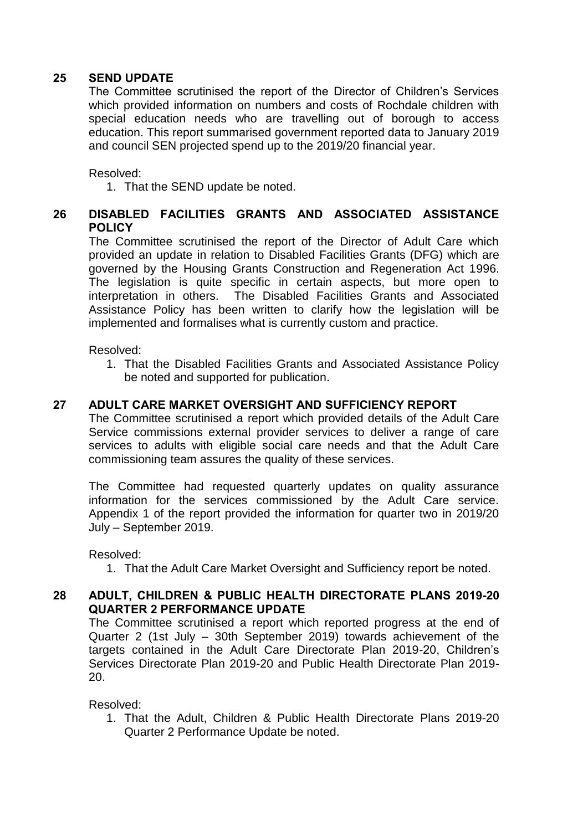# **25 SEND UPDATE**

The Committee scrutinised the report of the Director of Children's Services which provided information on numbers and costs of Rochdale children with special education needs who are travelling out of borough to access education. This report summarised government reported data to January 2019 and council SEN projected spend up to the 2019/20 financial year.

Resolved:

1. That the SEND update be noted.

# **26 DISABLED FACILITIES GRANTS AND ASSOCIATED ASSISTANCE POLICY**

The Committee scrutinised the report of the Director of Adult Care which provided an update in relation to Disabled Facilities Grants (DFG) which are governed by the Housing Grants Construction and Regeneration Act 1996. The legislation is quite specific in certain aspects, but more open to interpretation in others. The Disabled Facilities Grants and Associated Assistance Policy has been written to clarify how the legislation will be implemented and formalises what is currently custom and practice.

Resolved:

1. That the Disabled Facilities Grants and Associated Assistance Policy be noted and supported for publication.

# **27 ADULT CARE MARKET OVERSIGHT AND SUFFICIENCY REPORT**

The Committee scrutinised a report which provided details of the Adult Care Service commissions external provider services to deliver a range of care services to adults with eligible social care needs and that the Adult Care commissioning team assures the quality of these services.

The Committee had requested quarterly updates on quality assurance information for the services commissioned by the Adult Care service. Appendix 1 of the report provided the information for quarter two in 2019/20 July – September 2019.

Resolved:

1. That the Adult Care Market Oversight and Sufficiency report be noted.

# **28 ADULT, CHILDREN & PUBLIC HEALTH DIRECTORATE PLANS 2019-20 QUARTER 2 PERFORMANCE UPDATE**

The Committee scrutinised a report which reported progress at the end of Quarter 2 (1st July – 30th September 2019) towards achievement of the targets contained in the Adult Care Directorate Plan 2019-20, Children's Services Directorate Plan 2019-20 and Public Health Directorate Plan 2019- 20.

Resolved:

1. That the Adult, Children & Public Health Directorate Plans 2019-20 Quarter 2 Performance Update be noted.